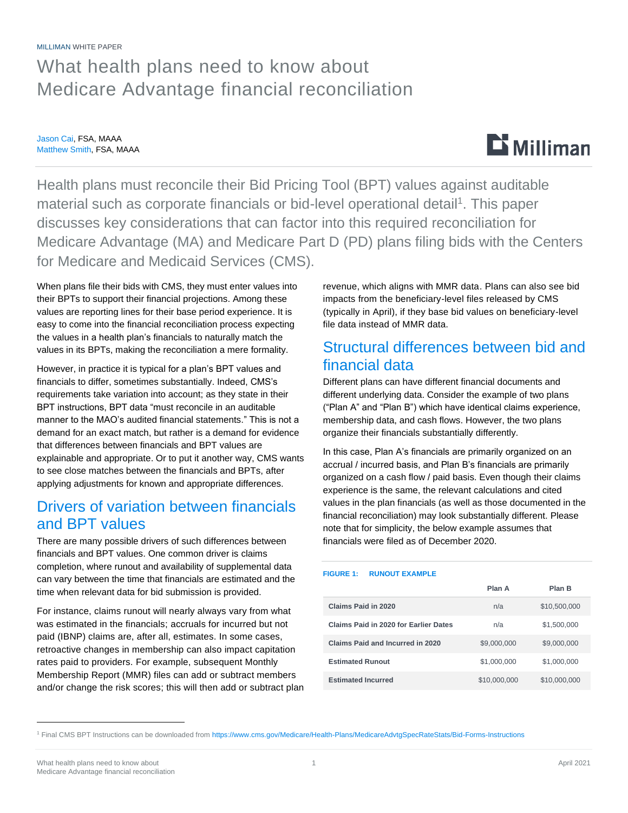MILLIMAN WHITE PAPER

## What health plans need to know about Medicare Advantage financial reconciliation

Jason Cai, FSA, MAAA Matthew Smith, FSA, MAAA



Health plans must reconcile their Bid Pricing Tool (BPT) values against auditable material such as corporate financials or bid-level operational detail<sup>1</sup>. This paper discusses key considerations that can factor into this required reconciliation for Medicare Advantage (MA) and Medicare Part D (PD) plans filing bids with the Centers for Medicare and Medicaid Services (CMS).

When plans file their bids with CMS, they must enter values into their BPTs to support their financial projections. Among these values are reporting lines for their base period experience. It is easy to come into the financial reconciliation process expecting the values in a health plan's financials to naturally match the values in its BPTs, making the reconciliation a mere formality.

However, in practice it is typical for a plan's BPT values and financials to differ, sometimes substantially. Indeed, CMS's requirements take variation into account; as they state in their BPT instructions, BPT data "must reconcile in an auditable manner to the MAO's audited financial statements." This is not a demand for an exact match, but rather is a demand for evidence that differences between financials and BPT values are explainable and appropriate. Or to put it another way, CMS wants to see close matches between the financials and BPTs, after applying adjustments for known and appropriate differences.

### Drivers of variation between financials and BPT values

There are many possible drivers of such differences between financials and BPT values. One common driver is claims completion, where runout and availability of supplemental data can vary between the time that financials are estimated and the time when relevant data for bid submission is provided.

For instance, claims runout will nearly always vary from what was estimated in the financials; accruals for incurred but not paid (IBNP) claims are, after all, estimates. In some cases, retroactive changes in membership can also impact capitation rates paid to providers. For example, subsequent Monthly Membership Report (MMR) files can add or subtract members and/or change the risk scores; this will then add or subtract plan revenue, which aligns with MMR data. Plans can also see bid impacts from the beneficiary-level files released by CMS (typically in April), if they base bid values on beneficiary-level file data instead of MMR data.

### Structural differences between bid and financial data

Different plans can have different financial documents and different underlying data. Consider the example of two plans ("Plan A" and "Plan B") which have identical claims experience, membership data, and cash flows. However, the two plans organize their financials substantially differently.

In this case, Plan A's financials are primarily organized on an accrual / incurred basis, and Plan B's financials are primarily organized on a cash flow / paid basis. Even though their claims experience is the same, the relevant calculations and cited values in the plan financials (as well as those documented in the financial reconciliation) may look substantially different. Please note that for simplicity, the below example assumes that financials were filed as of December 2020.

#### **FIGURE 1: RUNOUT EXAMPLE**

|                                       | Plan A       | Plan B       |
|---------------------------------------|--------------|--------------|
| Claims Paid in 2020                   | n/a          | \$10,500,000 |
| Claims Paid in 2020 for Earlier Dates | n/a          | \$1,500,000  |
| Claims Paid and Incurred in 2020      | \$9,000,000  | \$9,000,000  |
| <b>Estimated Runout</b>               | \$1,000,000  | \$1,000,000  |
| <b>Estimated Incurred</b>             | \$10,000,000 | \$10,000,000 |

<sup>1</sup> Final CMS BPT Instructions can be downloaded from<https://www.cms.gov/Medicare/Health-Plans/MedicareAdvtgSpecRateStats/Bid-Forms-Instructions>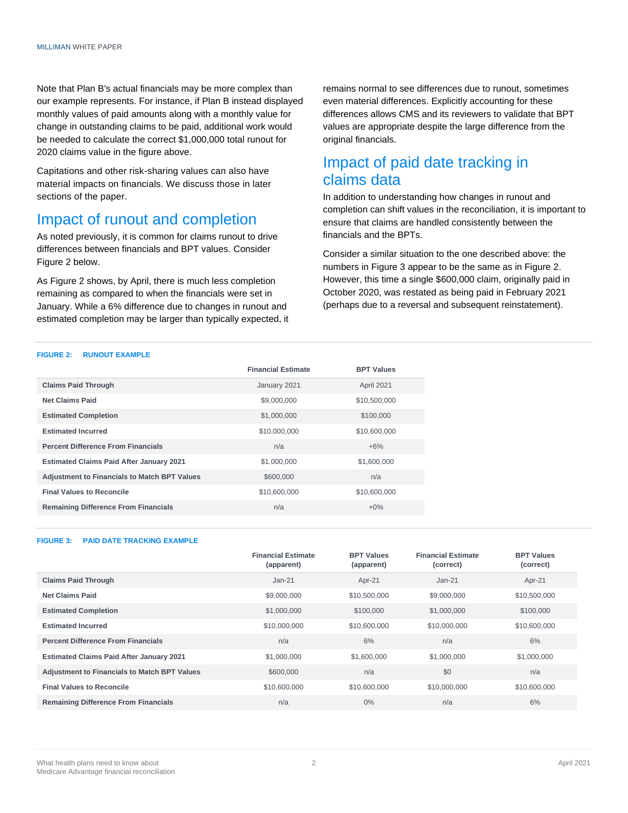Note that Plan B's actual financials may be more complex than our example represents. For instance, if Plan B instead displayed monthly values of paid amounts along with a monthly value for change in outstanding claims to be paid, additional work would be needed to calculate the correct \$1,000,000 total runout for 2020 claims value in the figure above.

Capitations and other risk-sharing values can also have material impacts on financials. We discuss those in later sections of the paper.

### Impact of runout and completion

As noted previously, it is common for claims runout to drive differences between financials and BPT values. Consider Figure 2 below.

As Figure 2 shows, by April, there is much less completion remaining as compared to when the financials were set in January. While a 6% difference due to changes in runout and estimated completion may be larger than typically expected, it remains normal to see differences due to runout, sometimes even material differences. Explicitly accounting for these differences allows CMS and its reviewers to validate that BPT values are appropriate despite the large difference from the original financials.

### Impact of paid date tracking in claims data

In addition to understanding how changes in runout and completion can shift values in the reconciliation, it is important to ensure that claims are handled consistently between the financials and the BPTs.

Consider a similar situation to the one described above: the numbers in Figure 3 appear to be the same as in Figure 2. However, this time a single \$600,000 claim, originally paid in October 2020, was restated as being paid in February 2021 (perhaps due to a reversal and subsequent reinstatement).

#### **FIGURE 2: RUNOUT EXAMPLE**

|                                                     | <b>Financial Estimate</b> | <b>BPT Values</b> |
|-----------------------------------------------------|---------------------------|-------------------|
| <b>Claims Paid Through</b>                          | January 2021              | April 2021        |
| <b>Net Claims Paid</b>                              | \$9,000,000               | \$10,500,000      |
| <b>Estimated Completion</b>                         | \$1,000,000               | \$100,000         |
| <b>Estimated Incurred</b>                           | \$10,000,000              | \$10,600,000      |
| <b>Percent Difference From Financials</b>           | n/a                       | $+6\%$            |
| <b>Estimated Claims Paid After January 2021</b>     | \$1,000,000               | \$1,600,000       |
| <b>Adjustment to Financials to Match BPT Values</b> | \$600,000                 | n/a               |
| <b>Final Values to Reconcile</b>                    | \$10,600,000              | \$10,600,000      |
| <b>Remaining Difference From Financials</b>         | n/a                       | $+0\%$            |

#### **FIGURE 3: PAID DATE TRACKING EXAMPLE**

|                                                     | <b>Financial Estimate</b><br>(apparent) | <b>BPT Values</b><br>(apparent) | <b>Financial Estimate</b><br>(correct) | <b>BPT Values</b><br>(correct) |
|-----------------------------------------------------|-----------------------------------------|---------------------------------|----------------------------------------|--------------------------------|
| <b>Claims Paid Through</b>                          | $Jan-21$                                | Apr-21                          | $Jan-21$                               | Apr-21                         |
| <b>Net Claims Paid</b>                              | \$9,000,000                             | \$10,500,000                    | \$9,000,000                            | \$10,500,000                   |
| <b>Estimated Completion</b>                         | \$1,000,000                             | \$100,000                       | \$1,000,000                            | \$100,000                      |
| <b>Estimated Incurred</b>                           | \$10,000,000                            | \$10,600,000                    | \$10,000,000                           | \$10,600,000                   |
| <b>Percent Difference From Financials</b>           | n/a                                     | 6%                              | n/a                                    | 6%                             |
| <b>Estimated Claims Paid After January 2021</b>     | \$1,000,000                             | \$1,600,000                     | \$1,000,000                            | \$1,000,000                    |
| <b>Adjustment to Financials to Match BPT Values</b> | \$600,000                               | n/a                             | \$0                                    | n/a                            |
| <b>Final Values to Reconcile</b>                    | \$10,600,000                            | \$10,600,000                    | \$10,000,000                           | \$10,600,000                   |
| <b>Remaining Difference From Financials</b>         | n/a                                     | 0%                              | n/a                                    | 6%                             |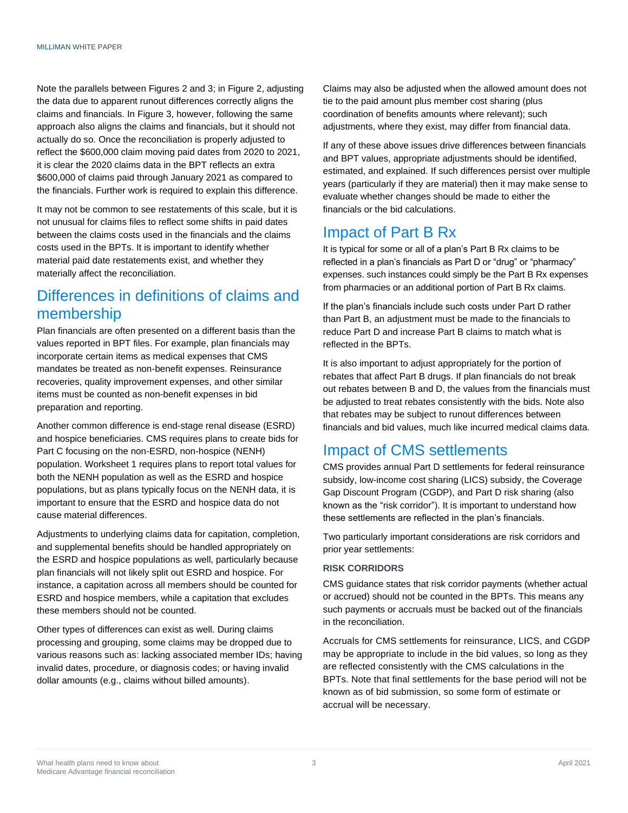Note the parallels between Figures 2 and 3; in Figure 2, adjusting the data due to apparent runout differences correctly aligns the claims and financials. In Figure 3, however, following the same approach also aligns the claims and financials, but it should not actually do so. Once the reconciliation is properly adjusted to reflect the \$600,000 claim moving paid dates from 2020 to 2021, it is clear the 2020 claims data in the BPT reflects an extra \$600,000 of claims paid through January 2021 as compared to the financials. Further work is required to explain this difference.

It may not be common to see restatements of this scale, but it is not unusual for claims files to reflect some shifts in paid dates between the claims costs used in the financials and the claims costs used in the BPTs. It is important to identify whether material paid date restatements exist, and whether they materially affect the reconciliation.

### Differences in definitions of claims and membership

Plan financials are often presented on a different basis than the values reported in BPT files. For example, plan financials may incorporate certain items as medical expenses that CMS mandates be treated as non-benefit expenses. Reinsurance recoveries, quality improvement expenses, and other similar items must be counted as non-benefit expenses in bid preparation and reporting.

Another common difference is end-stage renal disease (ESRD) and hospice beneficiaries. CMS requires plans to create bids for Part C focusing on the non-ESRD, non-hospice (NENH) population. Worksheet 1 requires plans to report total values for both the NENH population as well as the ESRD and hospice populations, but as plans typically focus on the NENH data, it is important to ensure that the ESRD and hospice data do not cause material differences.

Adjustments to underlying claims data for capitation, completion, and supplemental benefits should be handled appropriately on the ESRD and hospice populations as well, particularly because plan financials will not likely split out ESRD and hospice. For instance, a capitation across all members should be counted for ESRD and hospice members, while a capitation that excludes these members should not be counted.

Other types of differences can exist as well. During claims processing and grouping, some claims may be dropped due to various reasons such as: lacking associated member IDs; having invalid dates, procedure, or diagnosis codes; or having invalid dollar amounts (e.g., claims without billed amounts).

Claims may also be adjusted when the allowed amount does not tie to the paid amount plus member cost sharing (plus coordination of benefits amounts where relevant); such adjustments, where they exist, may differ from financial data.

If any of these above issues drive differences between financials and BPT values, appropriate adjustments should be identified, estimated, and explained. If such differences persist over multiple years (particularly if they are material) then it may make sense to evaluate whether changes should be made to either the financials or the bid calculations.

### Impact of Part B Rx

It is typical for some or all of a plan's Part B Rx claims to be reflected in a plan's financials as Part D or "drug" or "pharmacy" expenses. such instances could simply be the Part B Rx expenses from pharmacies or an additional portion of Part B Rx claims.

If the plan's financials include such costs under Part D rather than Part B, an adjustment must be made to the financials to reduce Part D and increase Part B claims to match what is reflected in the BPTs.

It is also important to adjust appropriately for the portion of rebates that affect Part B drugs. If plan financials do not break out rebates between B and D, the values from the financials must be adjusted to treat rebates consistently with the bids. Note also that rebates may be subject to runout differences between financials and bid values, much like incurred medical claims data.

### Impact of CMS settlements

CMS provides annual Part D settlements for federal reinsurance subsidy, low-income cost sharing (LICS) subsidy, the Coverage Gap Discount Program (CGDP), and Part D risk sharing (also known as the "risk corridor"). It is important to understand how these settlements are reflected in the plan's financials.

Two particularly important considerations are risk corridors and prior year settlements:

#### **RISK CORRIDORS**

CMS guidance states that risk corridor payments (whether actual or accrued) should not be counted in the BPTs. This means any such payments or accruals must be backed out of the financials in the reconciliation.

Accruals for CMS settlements for reinsurance, LICS, and CGDP may be appropriate to include in the bid values, so long as they are reflected consistently with the CMS calculations in the BPTs. Note that final settlements for the base period will not be known as of bid submission, so some form of estimate or accrual will be necessary.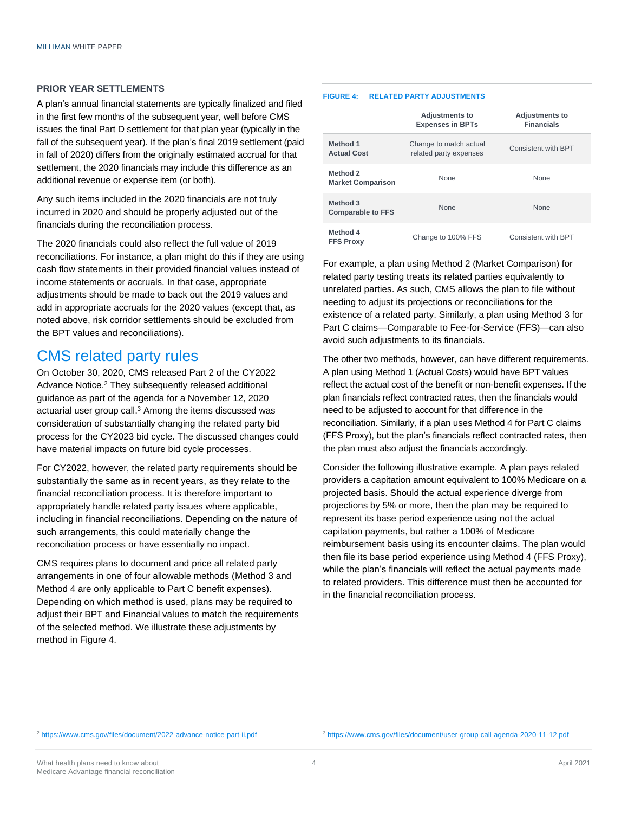#### **PRIOR YEAR SETTLEMENTS**

A plan's annual financial statements are typically finalized and filed in the first few months of the subsequent year, well before CMS issues the final Part D settlement for that plan year (typically in the fall of the subsequent year). If the plan's final 2019 settlement (paid in fall of 2020) differs from the originally estimated accrual for that settlement, the 2020 financials may include this difference as an additional revenue or expense item (or both).

Any such items included in the 2020 financials are not truly incurred in 2020 and should be properly adjusted out of the financials during the reconciliation process.

The 2020 financials could also reflect the full value of 2019 reconciliations. For instance, a plan might do this if they are using cash flow statements in their provided financial values instead of income statements or accruals. In that case, appropriate adjustments should be made to back out the 2019 values and add in appropriate accruals for the 2020 values (except that, as noted above, risk corridor settlements should be excluded from the BPT values and reconciliations).

### CMS related party rules

On October 30, 2020, CMS released Part 2 of the CY2022 Advance Notice. <sup>2</sup> They subsequently released additional guidance as part of the agenda for a November 12, 2020 actuarial user group call. <sup>3</sup> Among the items discussed was consideration of substantially changing the related party bid process for the CY2023 bid cycle. The discussed changes could have material impacts on future bid cycle processes.

For CY2022, however, the related party requirements should be substantially the same as in recent years, as they relate to the financial reconciliation process. It is therefore important to appropriately handle related party issues where applicable, including in financial reconciliations. Depending on the nature of such arrangements, this could materially change the reconciliation process or have essentially no impact.

CMS requires plans to document and price all related party arrangements in one of four allowable methods (Method 3 and Method 4 are only applicable to Part C benefit expenses). Depending on which method is used, plans may be required to adjust their BPT and Financial values to match the requirements of the selected method. We illustrate these adjustments by method in Figure 4.

#### **FIGURE 4: RELATED PARTY ADJUSTMENTS**

|                                      | <b>Adjustments to</b><br><b>Expenses in BPTs</b> | <b>Adjustments to</b><br><b>Financials</b> |
|--------------------------------------|--------------------------------------------------|--------------------------------------------|
| Method 1<br><b>Actual Cost</b>       | Change to match actual<br>related party expenses | Consistent with BPT                        |
| Method 2<br><b>Market Comparison</b> | None                                             | None                                       |
| Method 3<br><b>Comparable to FFS</b> | None                                             | None                                       |
| Method 4<br><b>FFS Proxy</b>         | Change to 100% FFS                               | Consistent with BPT                        |

For example, a plan using Method 2 (Market Comparison) for related party testing treats its related parties equivalently to unrelated parties. As such, CMS allows the plan to file without needing to adjust its projections or reconciliations for the existence of a related party. Similarly, a plan using Method 3 for Part C claims—Comparable to Fee-for-Service (FFS)—can also avoid such adjustments to its financials.

The other two methods, however, can have different requirements. A plan using Method 1 (Actual Costs) would have BPT values reflect the actual cost of the benefit or non-benefit expenses. If the plan financials reflect contracted rates, then the financials would need to be adjusted to account for that difference in the reconciliation. Similarly, if a plan uses Method 4 for Part C claims (FFS Proxy), but the plan's financials reflect contracted rates, then the plan must also adjust the financials accordingly.

Consider the following illustrative example. A plan pays related providers a capitation amount equivalent to 100% Medicare on a projected basis. Should the actual experience diverge from projections by 5% or more, then the plan may be required to represent its base period experience using not the actual capitation payments, but rather a 100% of Medicare reimbursement basis using its encounter claims. The plan would then file its base period experience using Method 4 (FFS Proxy), while the plan's financials will reflect the actual payments made to related providers. This difference must then be accounted for in the financial reconciliation process.

<sup>2</sup> <https://www.cms.gov/files/document/2022-advance-notice-part-ii.pdf>

<sup>3</sup> <https://www.cms.gov/files/document/user-group-call-agenda-2020-11-12.pdf>